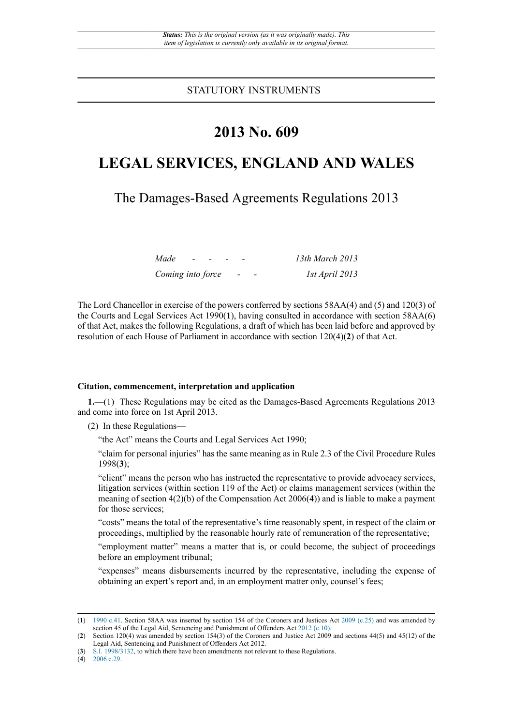STATUTORY INSTRUMENTS

# **2013 No. 609**

# **LEGAL SERVICES, ENGLAND AND WALES**

The Damages-Based Agreements Regulations 2013

| Made              | $\overline{\phantom{0}}$ |  |   | 13th March 2013 |
|-------------------|--------------------------|--|---|-----------------|
| Coming into force |                          |  | - | 1st April 2013  |

The Lord Chancellor in exercise of the powers conferred by sections 58AA(4) and (5) and 120(3) of the Courts and Legal Services Act 1990(**1**), having consulted in accordance with section 58AA(6) of that Act, makes the following Regulations, a draft of which has been laid before and approved by resolution of each House of Parliament in accordance with section 120(4)(**2**) of that Act.

#### **Citation, commencement, interpretation and application**

**1.**—(1) These Regulations may be cited as the Damages-Based Agreements Regulations 2013 and come into force on 1st April 2013.

(2) In these Regulations—

"the Act" means the Courts and Legal Services Act 1990;

"claim for personal injuries" has the same meaning as in Rule 2.3 of the Civil Procedure Rules 1998(**3**);

"client" means the person who has instructed the representative to provide advocacy services, litigation services (within section 119 of the Act) or claims management services (within the meaning of section 4(2)(b) of the Compensation Act 2006(**4**)) and is liable to make a payment for those services;

"costs" means the total of the representative's time reasonably spent, in respect of the claim or proceedings, multiplied by the reasonable hourly rate of remuneration of the representative;

"employment matter" means a matter that is, or could become, the subject of proceedings before an employment tribunal;

"expenses" means disbursements incurred by the representative, including the expense of obtaining an expert's report and, in an employment matter only, counsel's fees;

<sup>(</sup>**1**) [1990 c.41](http://www.legislation.gov.uk/id/ukpga/1990/41). Section 58AA was inserted by section 154 of the Coroners and Justices Act [2009 \(c.25\)](http://www.legislation.gov.uk/id/ukpga/2009/25) and was amended by section 45 of the Legal Aid, Sentencing and Punishment of Offenders Act [2012 \(c.10\).](http://www.legislation.gov.uk/id/ukpga/2012/10)

<sup>(</sup>**2**) Section 120(4) was amended by section 154(3) of the Coroners and Justice Act 2009 and sections 44(5) and 45(12) of the Legal Aid, Sentencing and Punishment of Offenders Act 2012.

<sup>(</sup>**3**) [S.I. 1998/3132](http://www.legislation.gov.uk/id/uksi/1998/3132), to which there have been amendments not relevant to these Regulations.

<sup>(</sup>**4**) [2006 c.29.](http://www.legislation.gov.uk/id/ukpga/2006/29)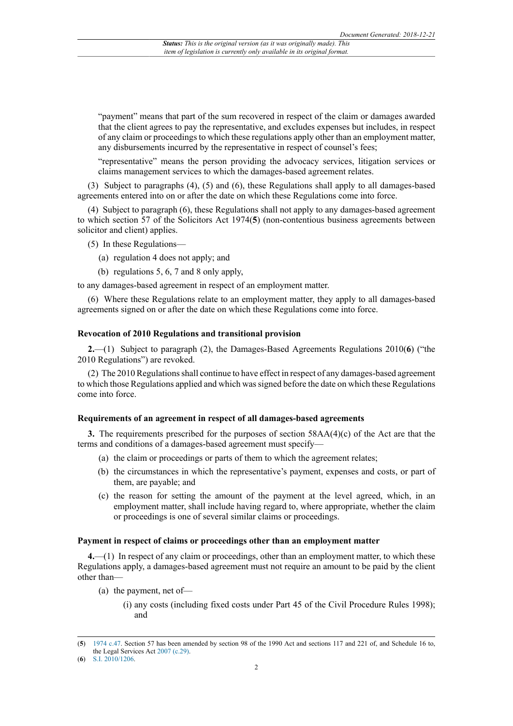"payment" means that part of the sum recovered in respect of the claim or damages awarded that the client agrees to pay the representative, and excludes expenses but includes, in respect of any claim or proceedingsto which these regulations apply other than an employment matter, any disbursements incurred by the representative in respect of counsel's fees;

"representative" means the person providing the advocacy services, litigation services or claims management services to which the damages-based agreement relates.

(3) Subject to paragraphs (4), (5) and (6), these Regulations shall apply to all damages-based agreements entered into on or after the date on which these Regulations come into force.

(4) Subject to paragraph (6), these Regulations shall not apply to any damages-based agreement to which section 57 of the Solicitors Act 1974(**5**) (non-contentious business agreements between solicitor and client) applies.

(5) In these Regulations—

- (a) regulation 4 does not apply; and
- (b) regulations 5, 6, 7 and 8 only apply,

to any damages-based agreement in respect of an employment matter.

(6) Where these Regulations relate to an employment matter, they apply to all damages-based agreements signed on or after the date on which these Regulations come into force.

## **Revocation of 2010 Regulations and transitional provision**

**2.**—(1) Subject to paragraph (2), the Damages-Based Agreements Regulations 2010(**6**) ("the 2010 Regulations") are revoked.

(2) The 2010 Regulationsshall continue to have effect in respect of any damages-based agreement to which those Regulations applied and which was signed before the date on which these Regulations come into force.

## **Requirements of an agreement in respect of all damages-based agreements**

**3.** The requirements prescribed for the purposes of section 58AA(4)(c) of the Act are that the terms and conditions of a damages-based agreement must specify—

- (a) the claim or proceedings or parts of them to which the agreement relates;
- (b) the circumstances in which the representative's payment, expenses and costs, or part of them, are payable; and
- (c) the reason for setting the amount of the payment at the level agreed, which, in an employment matter, shall include having regard to, where appropriate, whether the claim or proceedings is one of several similar claims or proceedings.

## **Payment in respect of claims or proceedings other than an employment matter**

**4.**—(1) In respect of any claim or proceedings, other than an employment matter, to which these Regulations apply, a damages-based agreement must not require an amount to be paid by the client other than—

- (a) the payment, net of—
	- (i) any costs (including fixed costs under Part 45 of the Civil Procedure Rules 1998); and

<sup>(</sup>**5**) [1974 c.47](http://www.legislation.gov.uk/id/ukpga/1974/47). Section 57 has been amended by section 98 of the 1990 Act and sections 117 and 221 of, and Schedule 16 to, the Legal Services Act [2007 \(c.29\)](http://www.legislation.gov.uk/id/ukpga/2007/29).

<sup>(</sup>**6**) [S.I. 2010/1206](http://www.legislation.gov.uk/id/uksi/2010/1206).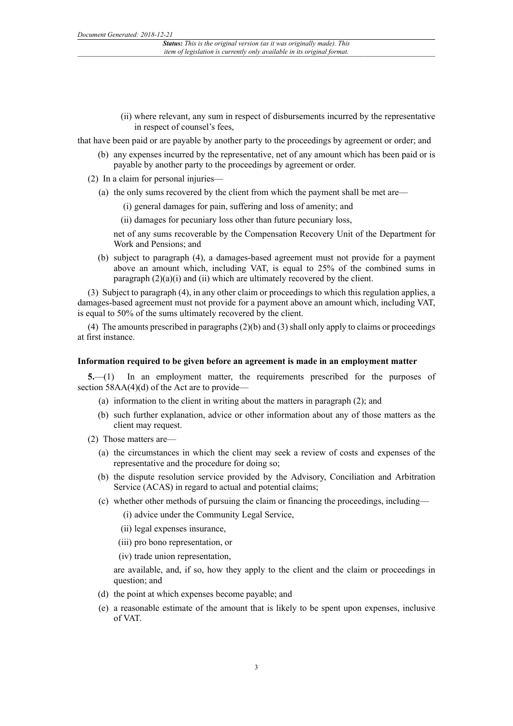(ii) where relevant, any sum in respect of disbursements incurred by the representative in respect of counsel's fees,

that have been paid or are payable by another party to the proceedings by agreement or order; and

- (b) any expenses incurred by the representative, net of any amount which has been paid or is payable by another party to the proceedings by agreement or order.
- (2) In a claim for personal injuries—
	- (a) the only sums recovered by the client from which the payment shall be met are—
		- (i) general damages for pain, suffering and loss of amenity; and
		- (ii) damages for pecuniary loss other than future pecuniary loss,

net of any sums recoverable by the Compensation Recovery Unit of the Department for Work and Pensions; and

(b) subject to paragraph (4), a damages-based agreement must not provide for a payment above an amount which, including VAT, is equal to 25% of the combined sums in paragraph  $(2)(a)(i)$  and  $(ii)$  which are ultimately recovered by the client.

(3) Subject to paragraph (4), in any other claim or proceedings to which this regulation applies, a damages-based agreement must not provide for a payment above an amount which, including VAT, is equal to 50% of the sums ultimately recovered by the client.

(4) The amounts prescribed in paragraphs (2)(b) and (3) shall only apply to claims or proceedings at first instance.

#### **Information required to be given before an agreement is made in an employment matter**

**5.**—(1) In an employment matter, the requirements prescribed for the purposes of section 58AA(4)(d) of the Act are to provide—

- (a) information to the client in writing about the matters in paragraph (2); and
- (b) such further explanation, advice or other information about any of those matters as the client may request.
- (2) Those matters are—
	- (a) the circumstances in which the client may seek a review of costs and expenses of the representative and the procedure for doing so;
	- (b) the dispute resolution service provided by the Advisory, Conciliation and Arbitration Service (ACAS) in regard to actual and potential claims;
	- (c) whether other methods of pursuing the claim or financing the proceedings, including—

(i) advice under the Community Legal Service,

(ii) legal expenses insurance,

(iii) pro bono representation, or

(iv) trade union representation,

are available, and, if so, how they apply to the client and the claim or proceedings in question; and

- (d) the point at which expenses become payable; and
- (e) a reasonable estimate of the amount that is likely to be spent upon expenses, inclusive of VAT.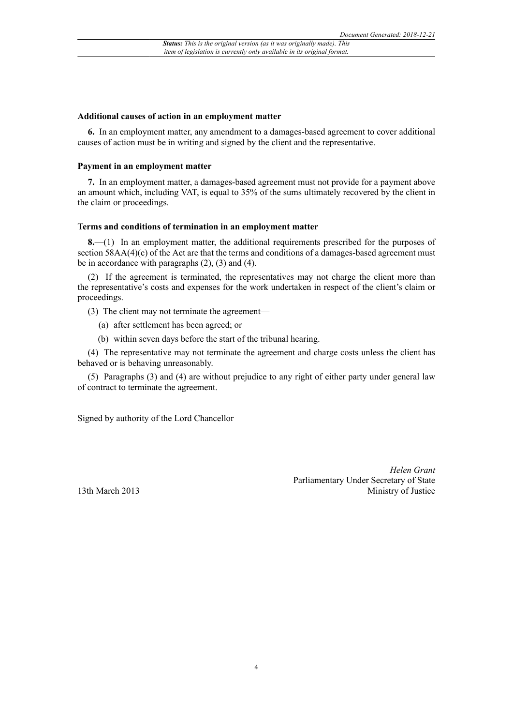#### **Additional causes of action in an employment matter**

**6.** In an employment matter, any amendment to a damages-based agreement to cover additional causes of action must be in writing and signed by the client and the representative.

### **Payment in an employment matter**

**7.** In an employment matter, a damages-based agreement must not provide for a payment above an amount which, including VAT, is equal to 35% of the sums ultimately recovered by the client in the claim or proceedings.

#### **Terms and conditions of termination in an employment matter**

**8.**—(1) In an employment matter, the additional requirements prescribed for the purposes of section 58AA(4)(c) of the Act are that the terms and conditions of a damages-based agreement must be in accordance with paragraphs (2), (3) and (4).

(2) If the agreement is terminated, the representatives may not charge the client more than the representative's costs and expenses for the work undertaken in respect of the client's claim or proceedings.

- (3) The client may not terminate the agreement—
	- (a) after settlement has been agreed; or
	- (b) within seven days before the start of the tribunal hearing.

(4) The representative may not terminate the agreement and charge costs unless the client has behaved or is behaving unreasonably.

(5) Paragraphs (3) and (4) are without prejudice to any right of either party under general law of contract to terminate the agreement.

Signed by authority of the Lord Chancellor

13th March 2013

*Helen Grant* Parliamentary Under Secretary of State Ministry of Justice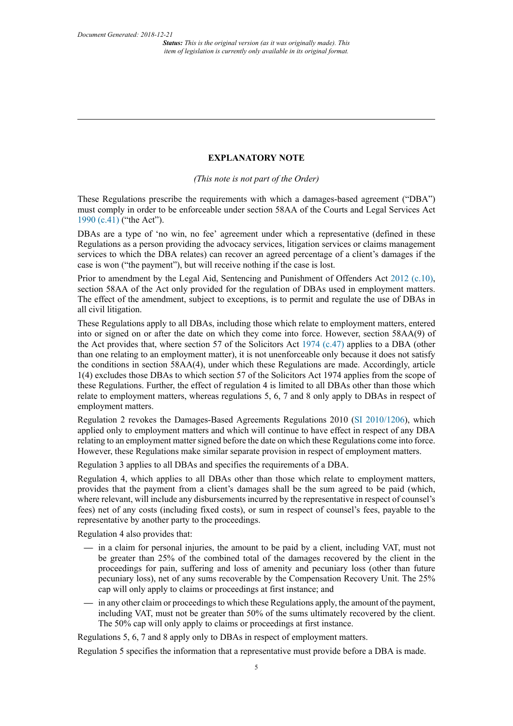## **EXPLANATORY NOTE**

*(This note is not part of the Order)*

These Regulations prescribe the requirements with which a damages-based agreement ("DBA") must comply in order to be enforceable under section 58AA of the Courts and Legal Services Act [1990 \(c.41\)](http://www.legislation.gov.uk/id/ukpga/1990/41) ("the Act").

DBAs are a type of 'no win, no fee' agreement under which a representative (defined in these Regulations as a person providing the advocacy services, litigation services or claims management services to which the DBA relates) can recover an agreed percentage of a client's damages if the case is won ("the payment"), but will receive nothing if the case is lost.

Prior to amendment by the Legal Aid, Sentencing and Punishment of Offenders Act [2012 \(c.10\),](http://www.legislation.gov.uk/id/ukpga/2012/10) section 58AA of the Act only provided for the regulation of DBAs used in employment matters. The effect of the amendment, subject to exceptions, is to permit and regulate the use of DBAs in all civil litigation.

These Regulations apply to all DBAs, including those which relate to employment matters, entered into or signed on or after the date on which they come into force. However, section 58AA(9) of the Act provides that, where section 57 of the Solicitors Act [1974 \(c.47\)](http://www.legislation.gov.uk/id/ukpga/1974/47) applies to a DBA (other than one relating to an employment matter), it is not unenforceable only because it does not satisfy the conditions in section 58AA(4), under which these Regulations are made. Accordingly, article 1(4) excludes those DBAs to which section 57 of the Solicitors Act 1974 applies from the scope of these Regulations. Further, the effect of regulation 4 is limited to all DBAs other than those which relate to employment matters, whereas regulations 5, 6, 7 and 8 only apply to DBAs in respect of employment matters.

Regulation 2 revokes the Damages-Based Agreements Regulations 2010 [\(SI 2010/1206\)](http://www.legislation.gov.uk/id/uksi/2010/1206), which applied only to employment matters and which will continue to have effect in respect of any DBA relating to an employment matter signed before the date on which these Regulations come into force. However, these Regulations make similar separate provision in respect of employment matters.

Regulation 3 applies to all DBAs and specifies the requirements of a DBA.

Regulation 4, which applies to all DBAs other than those which relate to employment matters, provides that the payment from a client's damages shall be the sum agreed to be paid (which, where relevant, will include any disbursements incurred by the representative in respect of counsel's fees) net of any costs (including fixed costs), or sum in respect of counsel's fees, payable to the representative by another party to the proceedings.

Regulation 4 also provides that:

- **—** in a claim for personal injuries, the amount to be paid by a client, including VAT, must not be greater than 25% of the combined total of the damages recovered by the client in the proceedings for pain, suffering and loss of amenity and pecuniary loss (other than future pecuniary loss), net of any sums recoverable by the Compensation Recovery Unit. The 25% cap will only apply to claims or proceedings at first instance; and
- **—** in any other claim or proceedingsto which these Regulations apply, the amount of the payment, including VAT, must not be greater than 50% of the sums ultimately recovered by the client. The 50% cap will only apply to claims or proceedings at first instance.

Regulations 5, 6, 7 and 8 apply only to DBAs in respect of employment matters.

Regulation 5 specifies the information that a representative must provide before a DBA is made.